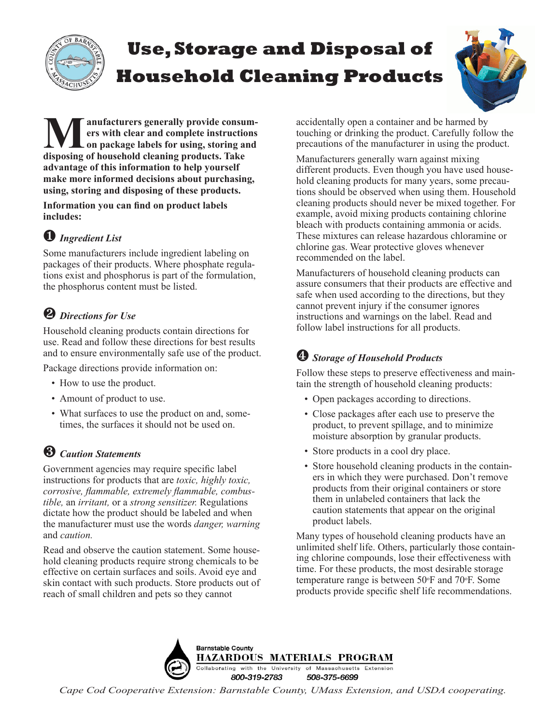

# **Use, Storage and Disposal of Household Cleaning Products**



**M** anufacturers generally provide consum-<br>
ers with clear and complete instructions<br>
on package labels for using, storing and<br>
disposing of household cleaning products. Take **ers with clear and complete instructions disposing of household cleaning products. Take advantage of this information to help yourself make more informed decisions about purchasing, using, storing and disposing of these products.**

**Information you can find on product labels includes:**

### ❶ *Ingredient List*

Some manufacturers include ingredient labeling on packages of their products. Where phosphate regulations exist and phosphorus is part of the formulation, the phosphorus content must be listed.

### ❷ *Directions for Use*

Household cleaning products contain directions for use. Read and follow these directions for best results and to ensure environmentally safe use of the product.

Package directions provide information on:

- How to use the product.
- Amount of product to use.
- What surfaces to use the product on and, sometimes, the surfaces it should not be used on.

### ❸ *Caution Statements*

Government agencies may require specific label instructions for products that are *toxic, highly toxic, corrosive, flammable, extremely flammable, combustible,* an *irritant,* or a *strong sensitizer.* Regulations dictate how the product should be labeled and when the manufacturer must use the words *danger, warning* and *caution.*

Read and observe the caution statement. Some household cleaning products require strong chemicals to be effective on certain surfaces and soils. Avoid eye and skin contact with such products. Store products out of reach of small children and pets so they cannot

accidentally open a container and be harmed by touching or drinking the product. Carefully follow the precautions of the manufacturer in using the product.

Manufacturers generally warn against mixing different products. Even though you have used household cleaning products for many years, some precautions should be observed when using them. Household cleaning products should never be mixed together. For example, avoid mixing products containing chlorine bleach with products containing ammonia or acids. These mixtures can release hazardous chloramine or chlorine gas. Wear protective gloves whenever recommended on the label.

Manufacturers of household cleaning products can assure consumers that their products are effective and safe when used according to the directions, but they cannot prevent injury if the consumer ignores instructions and warnings on the label. Read and follow label instructions for all products.

## ❹ *Storage of Household Products*

Follow these steps to preserve effectiveness and maintain the strength of household cleaning products:

- Open packages according to directions.
- Close packages after each use to preserve the product, to prevent spillage, and to minimize moisture absorption by granular products.
- Store products in a cool dry place.
- Store household cleaning products in the containers in which they were purchased. Don't remove products from their original containers or store them in unlabeled containers that lack the caution statements that appear on the original product labels.

Many types of household cleaning products have an unlimited shelf life. Others, particularly those containing chlorine compounds, lose their effectiveness with time. For these products, the most desirable storage temperature range is between 50o F and 70o F. Some products provide specific shelf life recommendations.



*Cape Cod Cooperative Extension: Barnstable County, UMass Extension, and USDA cooperating.*